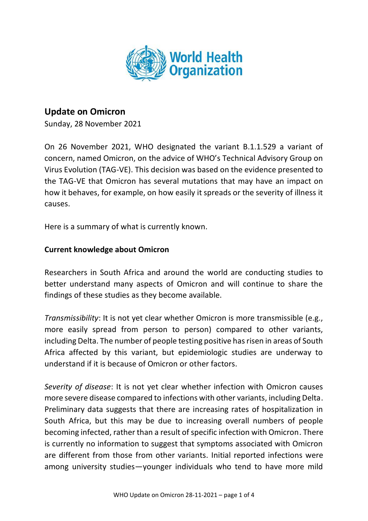

# **Update on Omicron**

Sunday, 28 November 2021

On 26 November 2021, WHO designated the variant B.1.1.529 a variant of concern, named Omicron, on the advice of WHO's Technical Advisory Group on Virus Evolution (TAG-VE). This decision was based on the evidence presented to the TAG-VE that Omicron has several mutations that may have an impact on how it behaves, for example, on how easily it spreads or the severity of illness it causes.

Here is a summary of what is currently known.

## **Current knowledge about Omicron**

Researchers in South Africa and around the world are conducting studies to better understand many aspects of Omicron and will continue to share the findings of these studies as they become available.

*Transmissibility*: It is not yet clear whether Omicron is more transmissible (e.g., more easily spread from person to person) compared to other variants, including Delta. The number of people testing positive has risen in areas of South Africa affected by this variant, but epidemiologic studies are underway to understand if it is because of Omicron or other factors.

*Severity of disease*: It is not yet clear whether infection with Omicron causes more severe disease compared to infections with other variants, including Delta. Preliminary data suggests that there are increasing rates of hospitalization in South Africa, but this may be due to increasing overall numbers of people becoming infected, rather than a result of specific infection with Omicron. There is currently no information to suggest that symptoms associated with Omicron are different from those from other variants. Initial reported infections were among university studies—younger individuals who tend to have more mild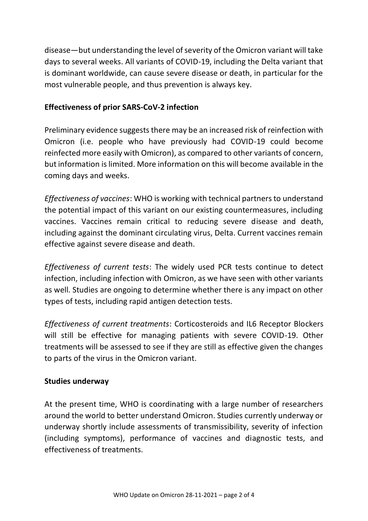disease—but understanding the level of severity of the Omicron variant will take days to several weeks. All variants of COVID-19, including the Delta variant that is dominant worldwide, can cause severe disease or death, in particular for the most vulnerable people, and thus prevention is always key.

### **Effectiveness of prior SARS-CoV-2 infection**

Preliminary evidence suggests there may be an increased risk of reinfection with Omicron (i.e. people who have previously had COVID-19 could become reinfected more easily with Omicron), as compared to other variants of concern, but information is limited. More information on this will become available in the coming days and weeks.

*Effectiveness of vaccines*: WHO is working with technical partners to understand the potential impact of this variant on our existing countermeasures, including vaccines. Vaccines remain critical to reducing severe disease and death, including against the dominant circulating virus, Delta. Current vaccines remain effective against severe disease and death.

*Effectiveness of current tests*: The widely used PCR tests continue to detect infection, including infection with Omicron, as we have seen with other variants as well. Studies are ongoing to determine whether there is any impact on other types of tests, including rapid antigen detection tests.

*Effectiveness of current treatments*: Corticosteroids and IL6 Receptor Blockers will still be effective for managing patients with severe COVID-19. Other treatments will be assessed to see if they are still as effective given the changes to parts of the virus in the Omicron variant.

#### **Studies underway**

At the present time, WHO is coordinating with a large number of researchers around the world to better understand Omicron. Studies currently underway or underway shortly include assessments of transmissibility, severity of infection (including symptoms), performance of vaccines and diagnostic tests, and effectiveness of treatments.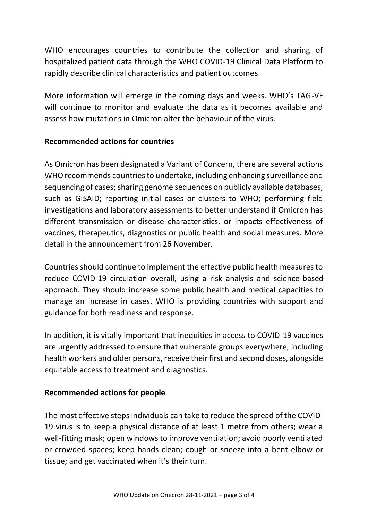WHO encourages countries to contribute the collection and sharing of hospitalized patient data through the WHO COVID-19 Clinical Data Platform to rapidly describe clinical characteristics and patient outcomes.

More information will emerge in the coming days and weeks. WHO's TAG-VE will continue to monitor and evaluate the data as it becomes available and assess how mutations in Omicron alter the behaviour of the virus.

#### **Recommended actions for countries**

As Omicron has been designated a Variant of Concern, there are several actions WHO recommends countries to undertake, including enhancing surveillance and sequencing of cases; sharing genome sequences on publicly available databases, such as GISAID; reporting initial cases or clusters to WHO; performing field investigations and laboratory assessments to better understand if Omicron has different transmission or disease characteristics, or impacts effectiveness of vaccines, therapeutics, diagnostics or public health and social measures. More detail in the announcement from 26 November.

Countries should continue to implement the effective public health measures to reduce COVID-19 circulation overall, using a risk analysis and science-based approach. They should increase some public health and medical capacities to manage an increase in cases. WHO is providing countries with support and guidance for both readiness and response.

In addition, it is vitally important that inequities in access to COVID-19 vaccines are urgently addressed to ensure that vulnerable groups everywhere, including health workers and older persons, receive their first and second doses, alongside equitable access to treatment and diagnostics.

#### **Recommended actions for people**

The most effective steps individuals can take to reduce the spread of the COVID-19 virus is to keep a physical distance of at least 1 metre from others; wear a well-fitting mask; open windows to improve ventilation; avoid poorly ventilated or crowded spaces; keep hands clean; cough or sneeze into a bent elbow or tissue; and get vaccinated when it's their turn.